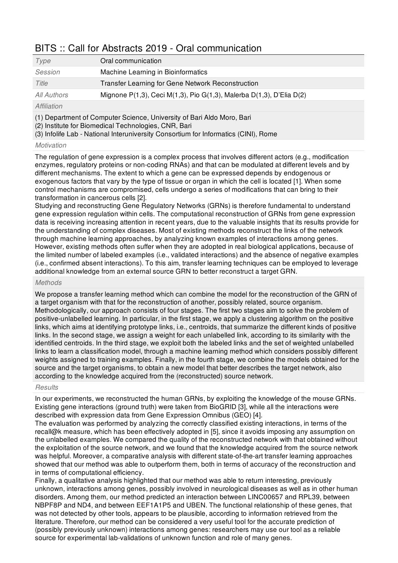## BITS :: Call for Abstracts 2019 - Oral communication

| Type        | Oral communication                                                                     |
|-------------|----------------------------------------------------------------------------------------|
| Session     | Machine Learning in Bioinformatics                                                     |
| Title       | Transfer Learning for Gene Network Reconstruction                                      |
| All Authors | Mignone $P(1,3)$ , Ceci M $(1,3)$ , Pio G $(1,3)$ , Malerba D $(1,3)$ , D'Elia D $(2)$ |
| Affiliation |                                                                                        |

(1) Department of Computer Science, University of Bari Aldo Moro, Bari

(2) Institute for Biomedical Technologies, CNR, Bari

(3) Infolife Lab - National Interuniversity Consortium for Informatics (CINI), Rome

## *Motivation*

The regulation of gene expression is a complex process that involves different actors (e.g., modification enzymes, regulatory proteins or non-coding RNAs) and that can be modulated at different levels and by different mechanisms. The extent to which a gene can be expressed depends by endogenous or exogenous factors that vary by the type of tissue or organ in which the cell is located [1]. When some control mechanisms are compromised, cells undergo a series of modifications that can bring to their transformation in cancerous cells [2].

Studying and reconstructing Gene Regulatory Networks (GRNs) is therefore fundamental to understand gene expression regulation within cells. The computational reconstruction of GRNs from gene expression data is receiving increasing attention in recent years, due to the valuable insights that its results provide for the understanding of complex diseases. Most of existing methods reconstruct the links of the network through machine learning approaches, by analyzing known examples of interactions among genes. However, existing methods often suffer when they are adopted in real biological applications, because of the limited number of labeled examples (i.e., validated interactions) and the absence of negative examples (i.e., confirmed absent interactions). To this aim, transfer learning techniques can be employed to leverage additional knowledge from an external source GRN to better reconstruct a target GRN.

## *Methods*

We propose a transfer learning method which can combine the model for the reconstruction of the GRN of a target organism with that for the reconstruction of another, possibly related, source organism. Methodologically, our approach consists of four stages. The first two stages aim to solve the problem of positive-unlabelled learning. In particular, in the first stage, we apply a clustering algorithm on the positive links, which aims at identifying prototype links, i.e., centroids, that summarize the different kinds of positive links. In the second stage, we assign a weight for each unlabelled link, according to its similarity with the identified centroids. In the third stage, we exploit both the labeled links and the set of weighted unlabelled links to learn a classification model, through a machine learning method which considers possibly different weights assigned to training examples. Finally, in the fourth stage, we combine the models obtained for the source and the target organisms, to obtain a new model that better describes the target network, also according to the knowledge acquired from the (reconstructed) source network.

## *Results*

In our experiments, we reconstructed the human GRNs, by exploiting the knowledge of the mouse GRNs. Existing gene interactions (ground truth) were taken from BioGRID [3], while all the interactions were described with expression data from Gene Expression Omnibus (GEO) [4].

The evaluation was performed by analyzing the correctly classified existing interactions, in terms of the recall@k measure, which has been effectively adopted in [5], since it avoids imposing any assumption on the unlabelled examples. We compared the quality of the reconstructed network with that obtained without the exploitation of the source network, and we found that the knowledge acquired from the source network was helpful. Moreover, a comparative analysis with different state-of-the-art transfer learning approaches showed that our method was able to outperform them, both in terms of accuracy of the reconstruction and in terms of computational efficiency.

Finally, a qualitative analysis highlighted that our method was able to return interesting, previously unknown, interactions among genes, possibly involved in neurological diseases as well as in other human disorders. Among them, our method predicted an interaction between LINC00657 and RPL39, between NBPF8P and ND4, and between EEF1A1P5 and UBEN. The functional relationship of these genes, that was not detected by other tools, appears to be plausible, according to information retrieved from the literature. Therefore, our method can be considered a very useful tool for the accurate prediction of (possibly previously unknown) interactions among genes: researchers may use our tool as a reliable source for experimental lab-validations of unknown function and role of many genes.